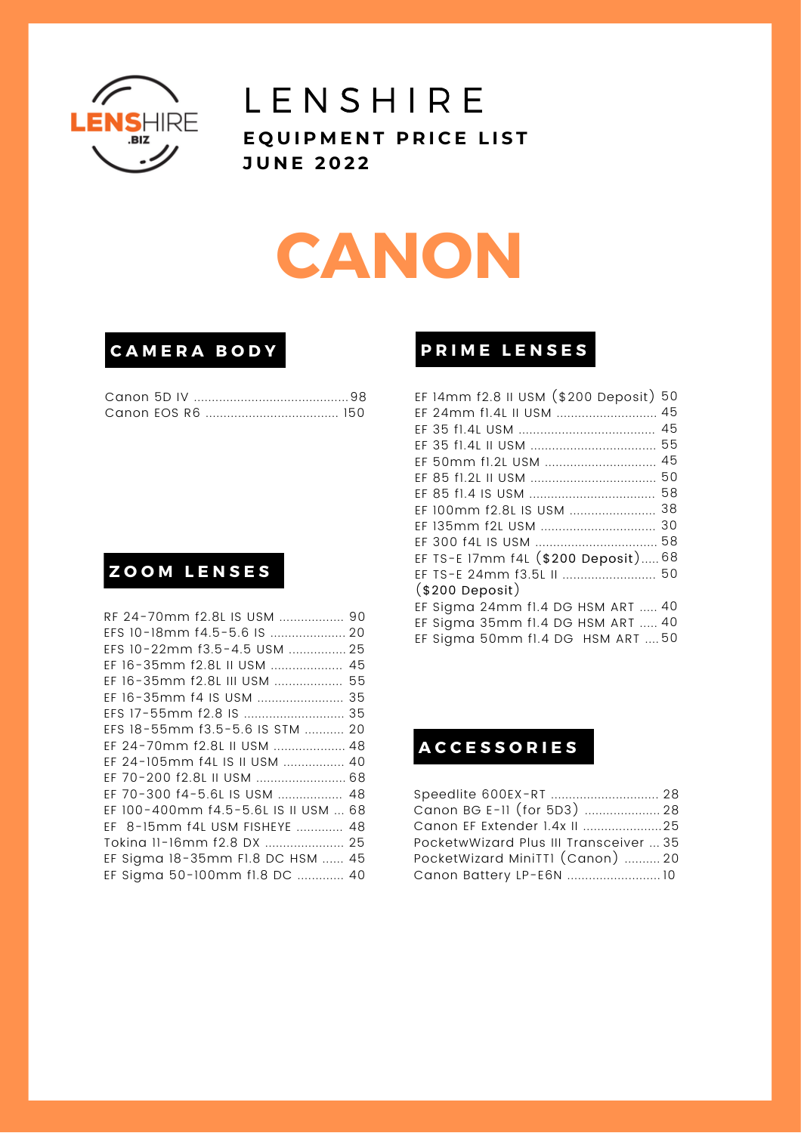

### **LENSHIRE** EQUIPMENT PRICE LIST **J U N E 2 0 2 2**

# **CANON**

### **C A M E R A B O D Y**

### **Z O O M L E N S E S**

| RF 24-70mm f2.8L IS USM  90          |  |
|--------------------------------------|--|
| EFS 10-18mm f4.5-5.6 IS  20          |  |
| EFS 10-22mm f3.5-4.5 USM  25         |  |
| EF 16-35mm f2.8L II USM  45          |  |
| EF 16-35mm f2.8L III USM  55         |  |
|                                      |  |
|                                      |  |
| EFS 18-55mm f3.5-5.6 IS STM  20      |  |
| EF 24-70mm f2.8L II USM  48          |  |
| EF 24-105mm f4L IS II USM  40        |  |
| EF 70-200 f2.8L II USM  68           |  |
| EF 70-300 f4-5.6L IS USM  48         |  |
| EF 100-400mm f4.5-5.6L IS II USM  68 |  |
| EF 8-15mm f4L USM FISHEYE  48        |  |
| Toking 11-16mm f2.8 DX  25           |  |
| EF Sigma 18-35mm F1.8 DC HSM  45     |  |
| EF Sigma 50-100mm fl.8 DC  40        |  |
|                                      |  |

### **P R I M E L E N S E S**

| EF 14mm f2.8 II USM (\$200 Deposit) 50 |  |
|----------------------------------------|--|
| EF 24mm f1.4L II USM  45               |  |
|                                        |  |
|                                        |  |
| EF 50mm fl.2L USM  45                  |  |
|                                        |  |
|                                        |  |
| EF 100mm f2.8L IS USM  38              |  |
| EF 135mm f2L USM  30                   |  |
|                                        |  |
| EF TS-E 17mm f4L (\$200 Deposit)68     |  |
| EF TS-E 24mm f3.5L II  50              |  |
| $($200\n$                              |  |
| EF Sigma 24mm fl.4 DG HSM ART  40      |  |
| EF Sigma 35mm fl.4 DG HSM ART  40      |  |
| EF Sigma 50mm fl.4 DG HSM ART  50      |  |

### **A C C E S S O R I E S**

| Speedlite 600EX-RT  28                 |  |
|----------------------------------------|--|
| Canon BG E-II (for 5D3)  28            |  |
| Canon EF Extender 1.4x II 25           |  |
| PocketwWizard Plus III Transceiver  35 |  |
| PocketWizard MiniTTI (Canon)  20       |  |
| Canon Battery LP-E6N  10               |  |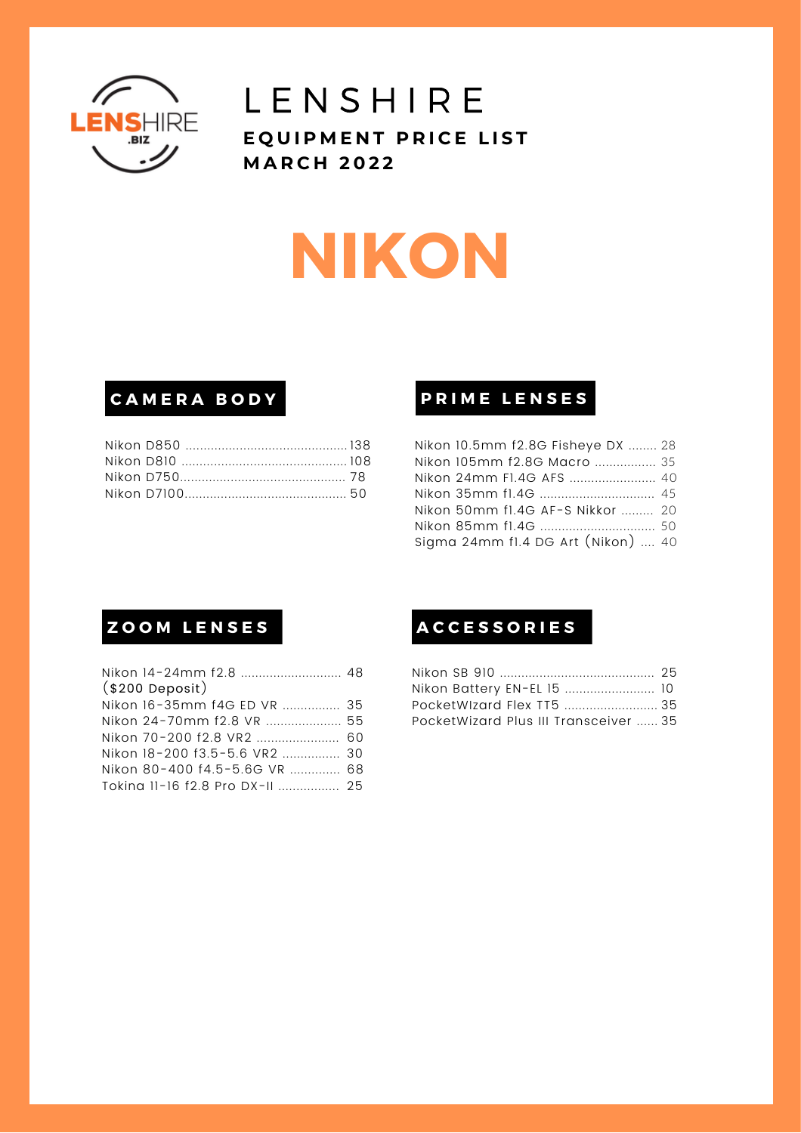

# **NIKON**

### **C A M E R A B O D Y**

### **P R I M E L E N S E S**

| Nikon 10.5mm f2.8G Fisheye DX  28  |  |
|------------------------------------|--|
| Nikon 105mm f2.8G Macro  35        |  |
| Nikon 24mm F1.4G AFS  40           |  |
|                                    |  |
| Nikon 50mm fl.4G AF-S Nikkor  20   |  |
|                                    |  |
| Sigma 24mm fl.4 DG Art (Nikon)  40 |  |

| Nikon 14-24mm f2.8  48          |  |
|---------------------------------|--|
| $($200\n$                       |  |
| Nikon 16-35mm f4G ED VR  35     |  |
| Nikon 24-70mm f2.8 VR  55       |  |
| Nikon 70-200 f2.8 VR2  60       |  |
| Nikon 18-200 f3.5-5.6 VR2  30   |  |
| Nikon 80-400 f4.5-5.6G VR  68   |  |
| Tokina 11-16 f2.8 Pro DX-II  25 |  |
|                                 |  |

### $\blacksquare$  **ZOOM LENSES**

| Nikon Battery EN-EL 15  10            |  |
|---------------------------------------|--|
|                                       |  |
| PocketWizard Plus III Transceiver  35 |  |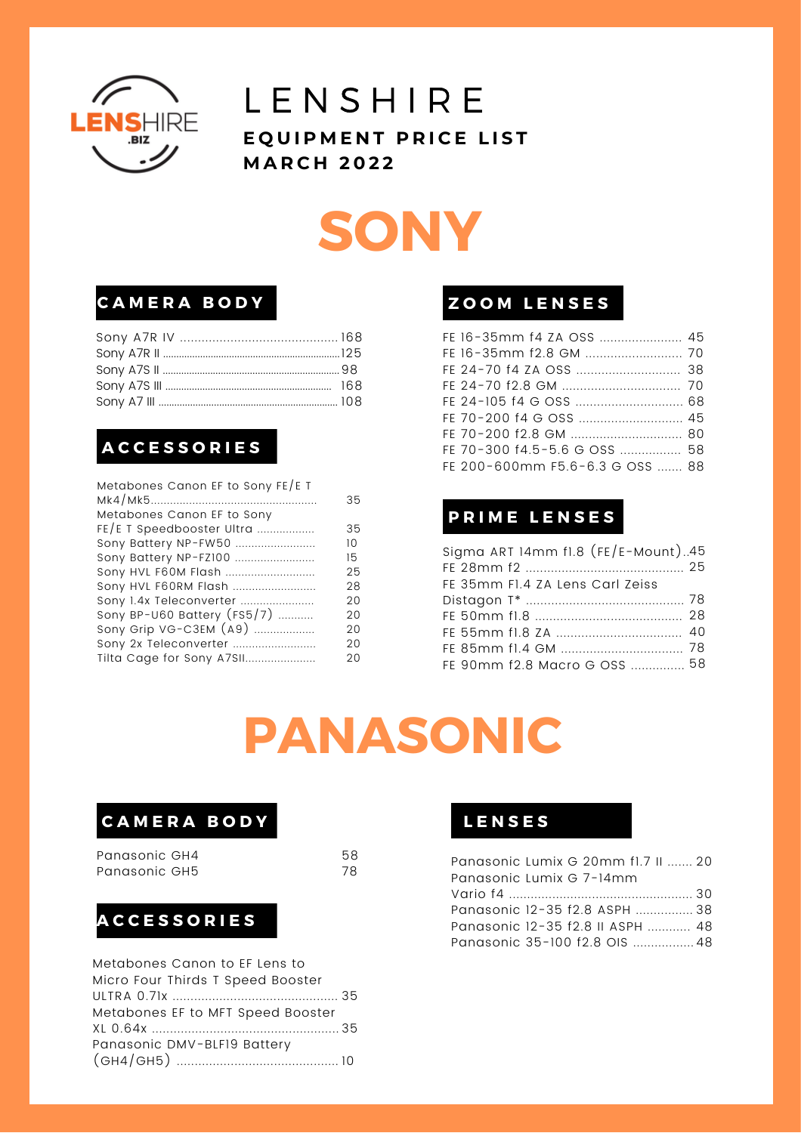

## **SONY**

### **C A M E R A B O D Y Z O O M L E N S E S**

### **A C C E S S O R I E S**

| 35 |
|----|
|    |
| 35 |
| 10 |
| 15 |
| 25 |
| 28 |
| 20 |
| 20 |
| 20 |
| 20 |
| 20 |
|    |

| FE 16-35mm f4 ZA OSS  45        |  |
|---------------------------------|--|
|                                 |  |
|                                 |  |
|                                 |  |
|                                 |  |
|                                 |  |
|                                 |  |
| FE 70-300 f4.5-5.6 G OSS  58    |  |
| FE 200-600mm F5.6-6.3 G OSS  88 |  |

### **P R I M E L E N S E S**

| Sigma ART 14mm fl.8 $(FE/E-Mount)$ 45 |  |
|---------------------------------------|--|
|                                       |  |
| FE 35mm F1.4 ZA Lens Carl Zeiss       |  |
|                                       |  |
|                                       |  |
|                                       |  |
|                                       |  |
| FE 90mm f2.8 Macro G OSS  58          |  |

## **PANASONIC**

### **C A M E R A B O D Y**

Panasonic GH4 Panasonic GH5

58 78

### **A C C E S S O R I E S**

| Metabones Canon to EF Lens to     |  |
|-----------------------------------|--|
| Micro Four Thirds T Speed Booster |  |
|                                   |  |
| Metabones EF to MFT Speed Booster |  |
|                                   |  |
| Panasonic DMV-BLF19 Battery       |  |
|                                   |  |
|                                   |  |

### **L E N S E S**

| Panasonic Lumix G 20mm fl.7 II  20 |  |
|------------------------------------|--|
| Panasonic Lumix G 7-14mm           |  |
|                                    |  |
| Panasonic 12-35 f2.8 ASPH  38      |  |
| Panasonic 12-35 f2.8 II ASPH  48   |  |
| Panasonic 35-100 f2.8 OIS  48      |  |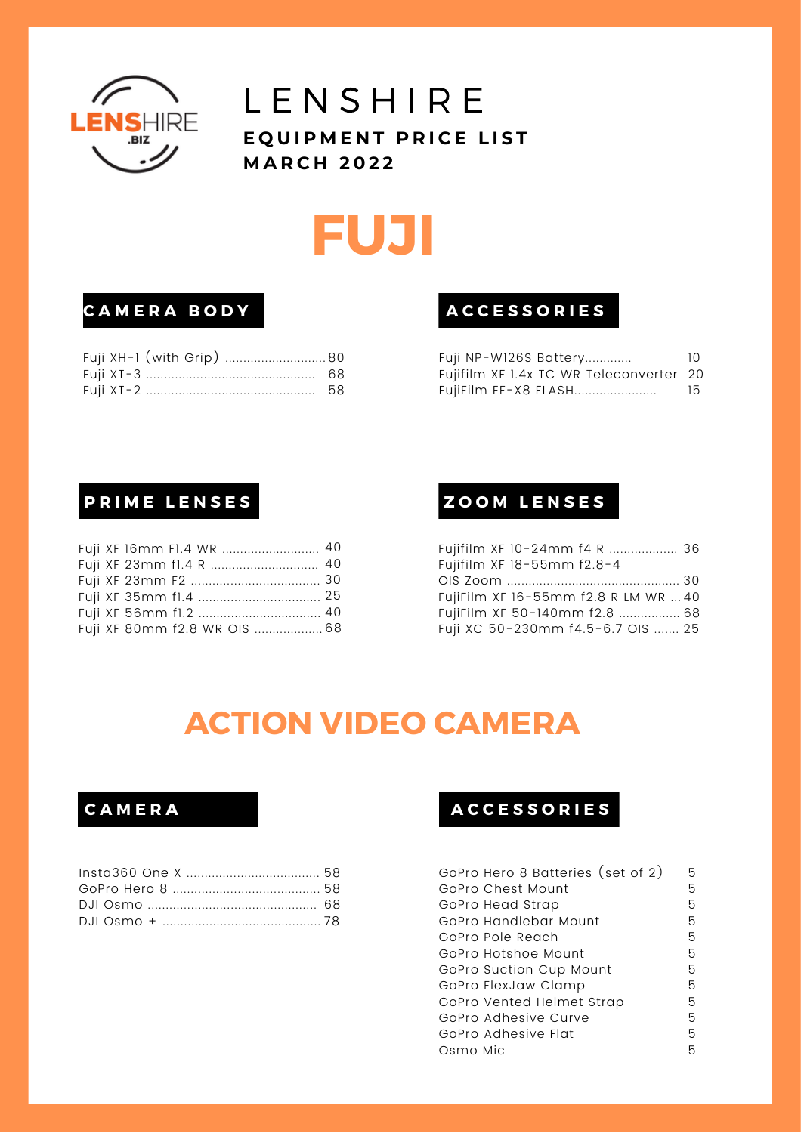

## **FUJI**

### **C A M E R A B O D Y**

### **A C C E S S O R I E S**

| Fuji NP-W126S Battery                   | 10 |
|-----------------------------------------|----|
| Fujifilm XF 1.4x TC WR Teleconverter 20 |    |
| FujiFilm EF-X8 FLASH                    | 15 |

### **P R I M E L E N S E S**

|  | Fuji XF 80mm f2.8 WR OIS  68 |  |
|--|------------------------------|--|

### **Z O O M L E N S E S**

| Fujifilm XF 10-24mm f4 R  36         |  |
|--------------------------------------|--|
| Fujifilm XF 18-55mm f2.8-4           |  |
|                                      |  |
| FujiFilm XF 16-55mm f2.8 R LM WR  40 |  |
| FujiFilm XF 50-140mm f2.8  68        |  |
| Fuji XC 50-230mm f4.5-6.7 OIS  25    |  |

### **ACTION VIDEO CAMERA**

### **C A M E R A**

### **A C C E S S O R I E S**

| GoPro Hero 8 Batteries (set of 2) | 5  |
|-----------------------------------|----|
| GoPro Chest Mount                 | 5  |
| GoPro Head Strap                  | 5. |
| GoPro Handlebar Mount             | 5  |
| GoPro Pole Reach                  | 5  |
| GoPro Hotshoe Mount               | 5  |
| GoPro Suction Cup Mount           | 5  |
| GoPro FlexJaw Clamp               | 5  |
| GoPro Vented Helmet Strap         | 5  |
| GoPro Adhesive Curve              | 5  |
| GoPro Adhesive Flat               | 5  |
| Osmo Mic                          | 5  |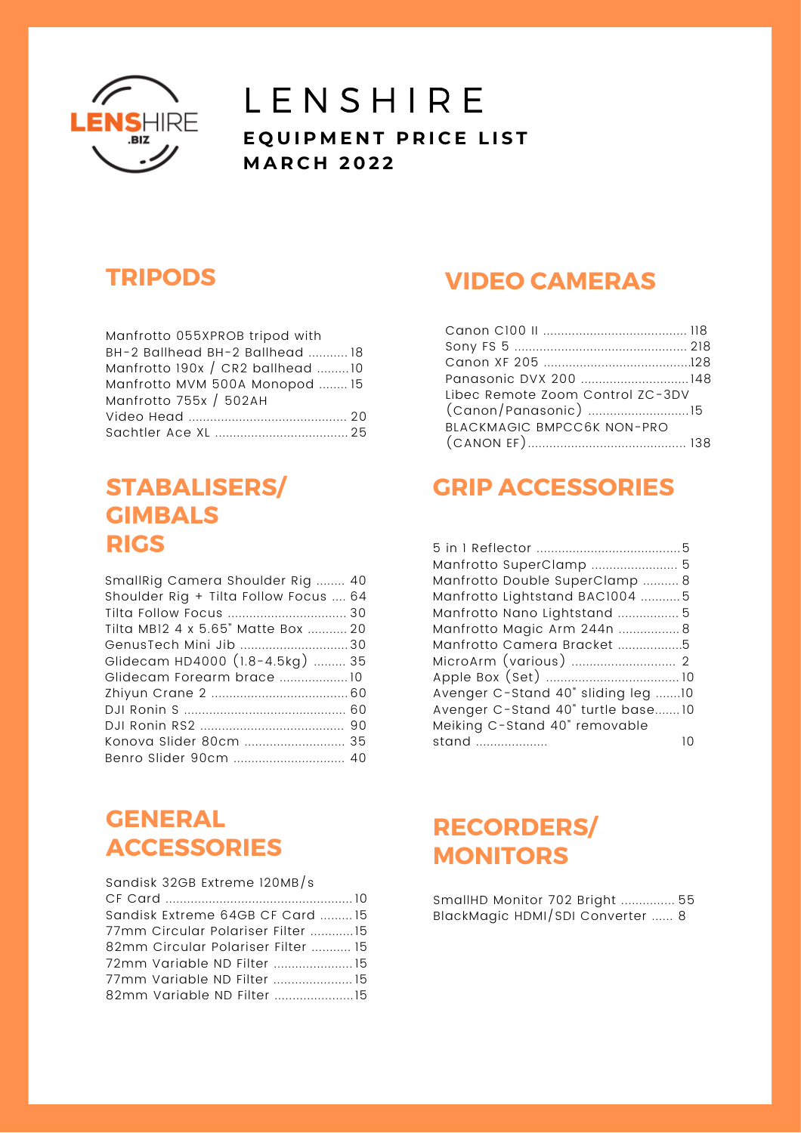

### **TRIPODS**

| Manfrotto 055XPROB tripod with   |
|----------------------------------|
| BH-2 Ballhead BH-2 Ballhead  18  |
| Manfrotto 190x / CR2 ballhead 10 |
| Manfrotto MVM 500A Monopod  15   |
| Manfrotto 755x / 502AH           |
|                                  |
|                                  |

### **STABALISERS/ GIMBALS RIGS**

| SmallRig Camera Shoulder Rig  40      |
|---------------------------------------|
| Shoulder Rig + Tilta Follow Focus  64 |
|                                       |
| Tilta MB12 4 x 5.65" Matte Box  20    |
| GenusTech Mini Jib 30                 |
| Glidecam HD4000 (1.8-4.5kg)  35       |
| Glidecam Forearm brace 10             |
|                                       |
|                                       |
|                                       |
| Konova Slider 80cm  35                |
| Benro Slider 90cm  40                 |
|                                       |

### **GENERAL ACCESSORIES**

| Sandisk 32GB Extreme 120MB/s       |  |
|------------------------------------|--|
|                                    |  |
| Sandisk Extreme 64GB CF Card  15   |  |
| 77mm Circular Polariser Filter 15  |  |
| 82mm Circular Polariser Filter  15 |  |
|                                    |  |
| 77mm Variable ND Filter  15        |  |
|                                    |  |

### **VIDEO CAMERAS**

| Libec Remote Zoom Control ZC-3DV |  |
|----------------------------------|--|
|                                  |  |
| BLACKMAGIC BMPCC6K NON-PRO       |  |
|                                  |  |

### **GRIP ACCESSORIES**

| Manfrotto SuperClamp  5            |  |
|------------------------------------|--|
| Manfrotto Double SuperClamp  8     |  |
| Manfrotto Lightstand BAC1004 5     |  |
| Manfrotto Nano Lightstand  5       |  |
| Manfrotto Magic Arm 244n  8        |  |
| Manfrotto Camera Bracket 5         |  |
|                                    |  |
|                                    |  |
| Avenger C-Stand 40" sliding leg 10 |  |
| Avenger C-Stand 40" turtle base10  |  |
| Meiking C-Stand 40" removable      |  |
| stand                              |  |

### **RECORDERS/ MONITORS**

SmallHD Monitor 702 Bright ............... 55 BlackMagic HDMI/SDI Converter ...... 8